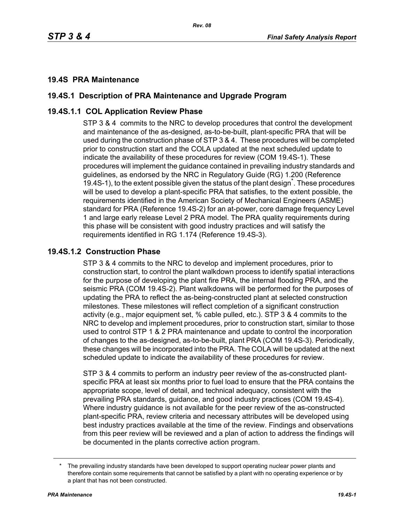### **19.4S PRA Maintenance**

# **19.4S.1 Description of PRA Maintenance and Upgrade Program**

# **19.4S.1.1 COL Application Review Phase**

STP 3 & 4 commits to the NRC to develop procedures that control the development and maintenance of the as-designed, as-to-be-built, plant-specific PRA that will be used during the construction phase of STP 3 & 4. These procedures will be completed prior to construction start and the COLA updated at the next scheduled update to indicate the availability of these procedures for review (COM 19.4S-1). These procedures will implement the guidance contained in prevailing industry standards and guidelines, as endorsed by the NRC in Regulatory Guide (RG) 1.200 (Reference 19.4S-1), to the extent possible given the status of the plant design<sup>\*</sup>. These procedures will be used to develop a plant-specific PRA that satisfies, to the extent possible, the requirements identified in the American Society of Mechanical Engineers (ASME) standard for PRA (Reference 19.4S-2) for an at-power, core damage frequency Level 1 and large early release Level 2 PRA model. The PRA quality requirements during this phase will be consistent with good industry practices and will satisfy the requirements identified in RG 1.174 (Reference 19.4S-3).

#### **19.4S.1.2 Construction Phase**

STP 3 & 4 commits to the NRC to develop and implement procedures, prior to construction start, to control the plant walkdown process to identify spatial interactions for the purpose of developing the plant fire PRA, the internal flooding PRA, and the seismic PRA (COM 19.4S-2). Plant walkdowns will be performed for the purposes of updating the PRA to reflect the as-being-constructed plant at selected construction milestones. These milestones will reflect completion of a significant construction activity (e.g., major equipment set, % cable pulled, etc.). STP 3 & 4 commits to the NRC to develop and implement procedures, prior to construction start, similar to those used to control STP 1 & 2 PRA maintenance and update to control the incorporation of changes to the as-designed, as-to-be-built, plant PRA (COM 19.4S-3). Periodically, these changes will be incorporated into the PRA. The COLA will be updated at the next scheduled update to indicate the availability of these procedures for review.

STP 3 & 4 commits to perform an industry peer review of the as-constructed plantspecific PRA at least six months prior to fuel load to ensure that the PRA contains the appropriate scope, level of detail, and technical adequacy, consistent with the prevailing PRA standards, guidance, and good industry practices (COM 19.4S-4). Where industry guidance is not available for the peer review of the as-constructed plant-specific PRA, review criteria and necessary attributes will be developed using best industry practices available at the time of the review. Findings and observations from this peer review will be reviewed and a plan of action to address the findings will be documented in the plants corrective action program.

The prevailing industry standards have been developed to support operating nuclear power plants and therefore contain some requirements that cannot be satisfied by a plant with no operating experience or by a plant that has not been constructed.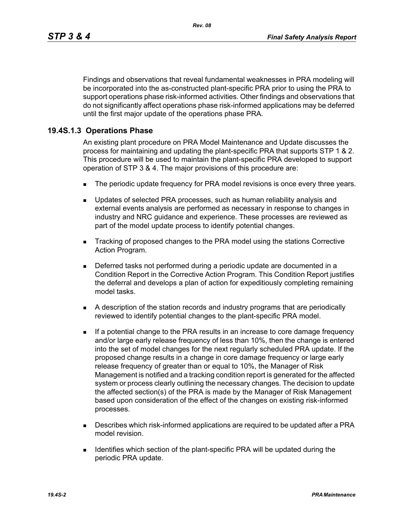Findings and observations that reveal fundamental weaknesses in PRA modeling will be incorporated into the as-constructed plant-specific PRA prior to using the PRA to support operations phase risk-informed activities. Other findings and observations that do not significantly affect operations phase risk-informed applications may be deferred until the first major update of the operations phase PRA.

# **19.4S.1.3 Operations Phase**

An existing plant procedure on PRA Model Maintenance and Update discusses the process for maintaining and updating the plant-specific PRA that supports STP 1 & 2. This procedure will be used to maintain the plant-specific PRA developed to support operation of STP 3 & 4. The major provisions of this procedure are:

- The periodic update frequency for PRA model revisions is once every three years.
- **Updates of selected PRA processes, such as human reliability analysis and** external events analysis are performed as necessary in response to changes in industry and NRC guidance and experience. These processes are reviewed as part of the model update process to identify potential changes.
- Tracking of proposed changes to the PRA model using the stations Corrective Action Program.
- Deferred tasks not performed during a periodic update are documented in a Condition Report in the Corrective Action Program. This Condition Report justifies the deferral and develops a plan of action for expeditiously completing remaining model tasks.
- A description of the station records and industry programs that are periodically reviewed to identify potential changes to the plant-specific PRA model.
- **If a potential change to the PRA results in an increase to core damage frequency** and/or large early release frequency of less than 10%, then the change is entered into the set of model changes for the next regularly scheduled PRA update. If the proposed change results in a change in core damage frequency or large early release frequency of greater than or equal to 10%, the Manager of Risk Management is notified and a tracking condition report is generated for the affected system or process clearly outlining the necessary changes. The decision to update the affected section(s) of the PRA is made by the Manager of Risk Management based upon consideration of the effect of the changes on existing risk-informed processes.
- **Describes which risk-informed applications are required to be updated after a PRA** model revision.
- **IDENTIFIELD IDENTIFIELD** Section of the plant-specific PRA will be updated during the periodic PRA update.